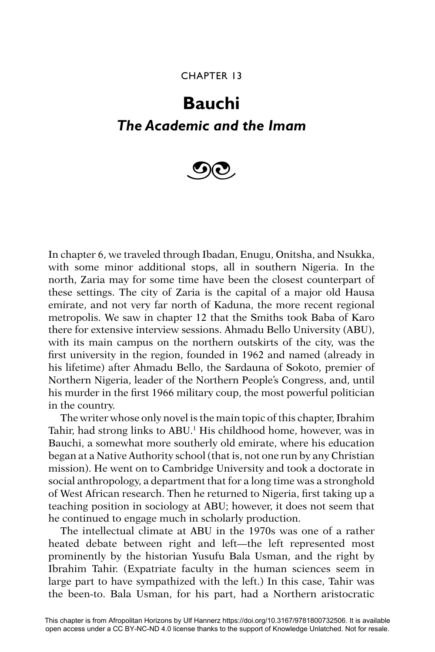## CHAPTER 13

## **Bauchi** *The Academic and the Imam*



In chapter 6, we traveled through Ibadan, Enugu, Onitsha, and Nsukka, with some minor additional stops, all in southern Nigeria. In the north, Zaria may for some time have been the closest counterpart of these settings. The city of Zaria is the capital of a major old Hausa emirate, and not very far north of Kaduna, the more recent regional metropolis. We saw in chapter 12 that the Smiths took Baba of Karo there for extensive interview sessions. Ahmadu Bello University (ABU), with its main campus on the northern outskirts of the city, was the first university in the region, founded in 1962 and named (already in his lifetime) after Ahmadu Bello, the Sardauna of Sokoto, premier of Northern Nigeria, leader of the Northern People's Congress, and, until his murder in the first 1966 military coup, the most powerful politician in the country.

The writer whose only novel is the main topic of this chapter, Ibrahim Tahir, had strong links to ABU.<sup>1</sup> His childhood home, however, was in Bauchi, a somewhat more southerly old emirate, where his education began at a Native Authority school (that is, not one run by any Christian mission). He went on to Cambridge University and took a doctorate in social anthropology, a department that for a long time was a stronghold of West African research. Then he returned to Nigeria, first taking up a teaching position in sociology at ABU; however, it does not seem that he continued to engage much in scholarly production.

The intellectual climate at ABU in the 1970s was one of a rather heated debate between right and left—the left represented most prominently by the historian Yusufu Bala Usman, and the right by Ibrahim Tahir. (Expatriate faculty in the human sciences seem in large part to have sympathized with the left.) In this case, Tahir was the been-to. Bala Usman, for his part, had a Northern aristocratic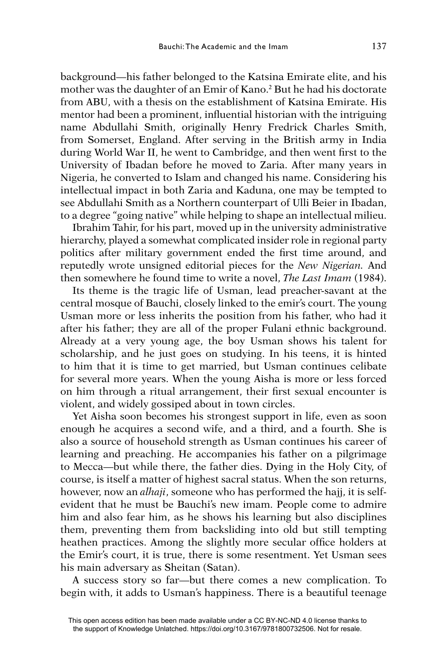background—his father belonged to the Katsina Emirate elite, and his mother was the daughter of an Emir of Kano.2 But he had his doctorate from ABU, with a thesis on the establishment of Katsina Emirate. His mentor had been a prominent, influential historian with the intriguing name Abdullahi Smith, originally Henry Fredrick Charles Smith, from Somerset, England. After serving in the British army in India during World War II, he went to Cambridge, and then went first to the University of Ibadan before he moved to Zaria. After many years in Nigeria, he converted to Islam and changed his name. Considering his intellectual impact in both Zaria and Kaduna, one may be tempted to see Abdullahi Smith as a Northern counterpart of Ulli Beier in Ibadan, to a degree "going native" while helping to shape an intellectual milieu.

Ibrahim Tahir, for his part, moved up in the university administrative hierarchy, played a somewhat complicated insider role in regional party politics after military government ended the first time around, and reputedly wrote unsigned editorial pieces for the *New Nigerian.* And then somewhere he found time to write a novel, *The Last Imam* (1984).

Its theme is the tragic life of Usman, lead preacher-savant at the central mosque of Bauchi, closely linked to the emir's court. The young Usman more or less inherits the position from his father, who had it after his father; they are all of the proper Fulani ethnic background. Already at a very young age, the boy Usman shows his talent for scholarship, and he just goes on studying. In his teens, it is hinted to him that it is time to get married, but Usman continues celibate for several more years. When the young Aisha is more or less forced on him through a ritual arrangement, their first sexual encounter is violent, and widely gossiped about in town circles.

Yet Aisha soon becomes his strongest support in life, even as soon enough he acquires a second wife, and a third, and a fourth. She is also a source of household strength as Usman continues his career of learning and preaching. He accompanies his father on a pilgrimage to Mecca—but while there, the father dies. Dying in the Holy City, of course, is itself a matter of highest sacral status. When the son returns, however, now an *alhaji*, someone who has performed the hajj, it is selfevident that he must be Bauchi's new imam. People come to admire him and also fear him, as he shows his learning but also disciplines them, preventing them from backsliding into old but still tempting heathen practices. Among the slightly more secular office holders at the Emir's court, it is true, there is some resentment. Yet Usman sees his main adversary as Sheitan (Satan).

A success story so far—but there comes a new complication. To begin with, it adds to Usman's happiness. There is a beautiful teenage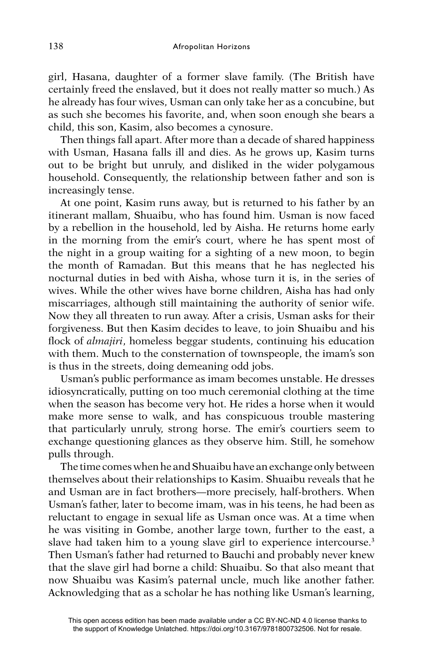girl, Hasana, daughter of a former slave family. (The British have certainly freed the enslaved, but it does not really matter so much.) As he already has four wives, Usman can only take her as a concubine, but as such she becomes his favorite, and, when soon enough she bears a child, this son, Kasim, also becomes a cynosure.

Then things fall apart. After more than a decade of shared happiness with Usman, Hasana falls ill and dies. As he grows up, Kasim turns out to be bright but unruly, and disliked in the wider polygamous household. Consequently, the relationship between father and son is increasingly tense.

At one point, Kasim runs away, but is returned to his father by an itinerant mallam, Shuaibu, who has found him. Usman is now faced by a rebellion in the household, led by Aisha. He returns home early in the morning from the emir's court, where he has spent most of the night in a group waiting for a sighting of a new moon, to begin the month of Ramadan. But this means that he has neglected his nocturnal duties in bed with Aisha, whose turn it is, in the series of wives. While the other wives have borne children, Aisha has had only miscarriages, although still maintaining the authority of senior wife. Now they all threaten to run away. After a crisis, Usman asks for their forgiveness. But then Kasim decides to leave, to join Shuaibu and his flock of *almajiri*, homeless beggar students, continuing his education with them. Much to the consternation of townspeople, the imam's son is thus in the streets, doing demeaning odd jobs.

Usman's public performance as imam becomes unstable. He dresses idiosyncratically, putting on too much ceremonial clothing at the time when the season has become very hot. He rides a horse when it would make more sense to walk, and has conspicuous trouble mastering that particularly unruly, strong horse. The emir's courtiers seem to exchange questioning glances as they observe him. Still, he somehow pulls through.

The time comes when he and Shuaibu have an exchange only between themselves about their relationships to Kasim. Shuaibu reveals that he and Usman are in fact brothers—more precisely, half-brothers. When Usman's father, later to become imam, was in his teens, he had been as reluctant to engage in sexual life as Usman once was. At a time when he was visiting in Gombe, another large town, further to the east, a slave had taken him to a young slave girl to experience intercourse.<sup>3</sup> Then Usman's father had returned to Bauchi and probably never knew that the slave girl had borne a child: Shuaibu. So that also meant that now Shuaibu was Kasim's paternal uncle, much like another father. Acknowledging that as a scholar he has nothing like Usman's learning,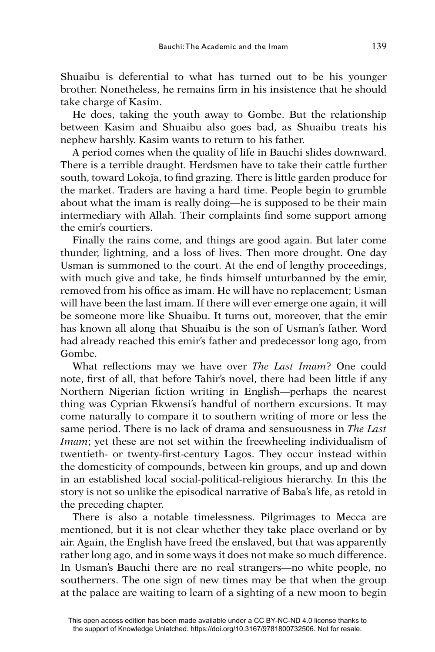Shuaibu is deferential to what has turned out to be his younger brother. Nonetheless, he remains firm in his insistence that he should take charge of Kasim.

He does, taking the youth away to Gombe. But the relationship between Kasim and Shuaibu also goes bad, as Shuaibu treats his nephew harshly. Kasim wants to return to his father.

A period comes when the quality of life in Bauchi slides downward. There is a terrible draught. Herdsmen have to take their cattle further south, toward Lokoja, to find grazing. There is little garden produce for the market. Traders are having a hard time. People begin to grumble about what the imam is really doing—he is supposed to be their main intermediary with Allah. Their complaints find some support among the emir's courtiers.

Finally the rains come, and things are good again. But later come thunder, lightning, and a loss of lives. Then more drought. One day Usman is summoned to the court. At the end of lengthy proceedings, with much give and take, he finds himself unturbanned by the emir, removed from his office as imam. He will have no replacement; Usman will have been the last imam. If there will ever emerge one again, it will be someone more like Shuaibu. It turns out, moreover, that the emir has known all along that Shuaibu is the son of Usman's father. Word had already reached this emir's father and predecessor long ago, from Gombe.

What reflections may we have over *The Last Imam*? One could note, first of all, that before Tahir's novel, there had been little if any Northern Nigerian fiction writing in English—perhaps the nearest thing was Cyprian Ekwensi's handful of northern excursions. It may come naturally to compare it to southern writing of more or less the same period. There is no lack of drama and sensuousness in *The Last Imam*; yet these are not set within the freewheeling individualism of twentieth- or twenty-first-century Lagos. They occur instead within the domesticity of compounds, between kin groups, and up and down in an established local social-political-religious hierarchy. In this the story is not so unlike the episodical narrative of Baba's life, as retold in the preceding chapter.

There is also a notable timelessness. Pilgrimages to Mecca are mentioned, but it is not clear whether they take place overland or by air. Again, the English have freed the enslaved, but that was apparently rather long ago, and in some ways it does not make so much difference. In Usman's Bauchi there are no real strangers—no white people, no southerners. The one sign of new times may be that when the group at the palace are waiting to learn of a sighting of a new moon to begin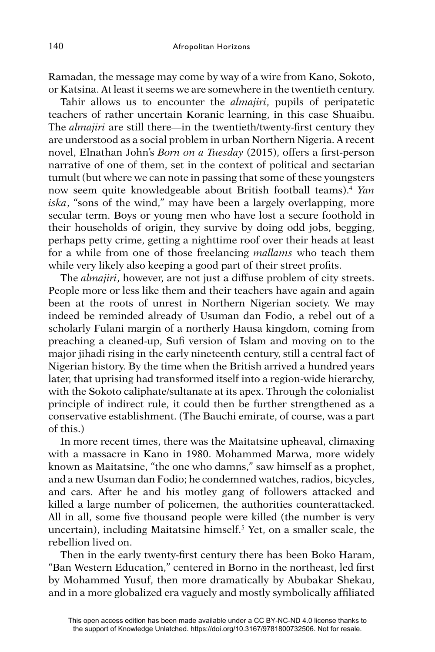Ramadan, the message may come by way of a wire from Kano, Sokoto, or Katsina. At least it seems we are somewhere in the twentieth century.

Tahir allows us to encounter the *almajiri*, pupils of peripatetic teachers of rather uncertain Koranic learning, in this case Shuaibu. The *almajiri* are still there—in the twentieth/twenty-first century they are understood as a social problem in urban Northern Nigeria. A recent novel, Elnathan John's *Born on a Tuesday* (2015), offers a first-person narrative of one of them, set in the context of political and sectarian tumult (but where we can note in passing that some of these youngsters now seem quite knowledgeable about British football teams).4 *Yan iska*, "sons of the wind," may have been a largely overlapping, more secular term. Boys or young men who have lost a secure foothold in their households of origin, they survive by doing odd jobs, begging, perhaps petty crime, getting a nighttime roof over their heads at least for a while from one of those freelancing *mallams* who teach them while very likely also keeping a good part of their street profits.

The *almajiri*, however, are not just a diffuse problem of city streets. People more or less like them and their teachers have again and again been at the roots of unrest in Northern Nigerian society. We may indeed be reminded already of Usuman dan Fodio, a rebel out of a scholarly Fulani margin of a northerly Hausa kingdom, coming from preaching a cleaned-up, Sufi version of Islam and moving on to the major jihadi rising in the early nineteenth century, still a central fact of Nigerian history. By the time when the British arrived a hundred years later, that uprising had transformed itself into a region-wide hierarchy, with the Sokoto caliphate/sultanate at its apex. Through the colonialist principle of indirect rule, it could then be further strengthened as a conservative establishment. (The Bauchi emirate, of course, was a part of this.)

In more recent times, there was the Maitatsine upheaval, climaxing with a massacre in Kano in 1980. Mohammed Marwa, more widely known as Maitatsine, "the one who damns," saw himself as a prophet, and a new Usuman dan Fodio; he condemned watches, radios, bicycles, and cars. After he and his motley gang of followers attacked and killed a large number of policemen, the authorities counterattacked. All in all, some five thousand people were killed (the number is very uncertain), including Maitatsine himself.5 Yet, on a smaller scale, the rebellion lived on.

Then in the early twenty-first century there has been Boko Haram, "Ban Western Education," centered in Borno in the northeast, led first by Mohammed Yusuf, then more dramatically by Abubakar Shekau, and in a more globalized era vaguely and mostly symbolically affiliated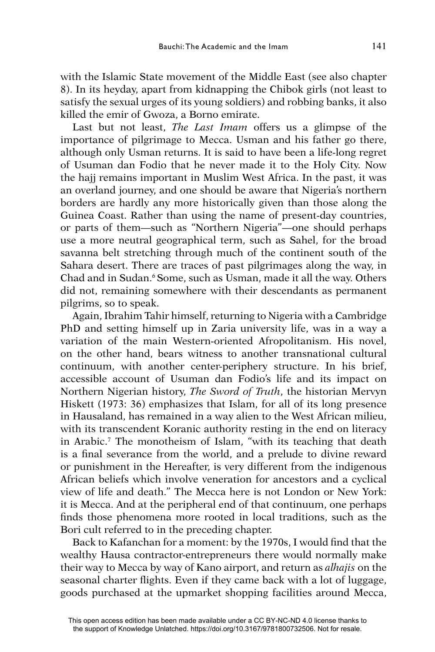with the Islamic State movement of the Middle East (see also chapter 8). In its heyday, apart from kidnapping the Chibok girls (not least to satisfy the sexual urges of its young soldiers) and robbing banks, it also killed the emir of Gwoza, a Borno emirate.

Last but not least, *The Last Imam* offers us a glimpse of the importance of pilgrimage to Mecca. Usman and his father go there, although only Usman returns. It is said to have been a life-long regret of Usuman dan Fodio that he never made it to the Holy City. Now the hajj remains important in Muslim West Africa. In the past, it was an overland journey, and one should be aware that Nigeria's northern borders are hardly any more historically given than those along the Guinea Coast. Rather than using the name of present-day countries, or parts of them—such as "Northern Nigeria"—one should perhaps use a more neutral geographical term, such as Sahel, for the broad savanna belt stretching through much of the continent south of the Sahara desert. There are traces of past pilgrimages along the way, in Chad and in Sudan.<sup>6</sup> Some, such as Usman, made it all the way. Others did not, remaining somewhere with their descendants as permanent pilgrims, so to speak.

Again, Ibrahim Tahir himself, returning to Nigeria with a Cambridge PhD and setting himself up in Zaria university life, was in a way a variation of the main Western-oriented Afropolitanism. His novel, on the other hand, bears witness to another transnational cultural continuum, with another center-periphery structure. In his brief, accessible account of Usuman dan Fodio's life and its impact on Northern Nigerian history, *The Sword of Truth*, the historian Mervyn Hiskett (1973: 36) emphasizes that Islam, for all of its long presence in Hausaland, has remained in a way alien to the West African milieu, with its transcendent Koranic authority resting in the end on literacy in Arabic.7 The monotheism of Islam, "with its teaching that death is a final severance from the world, and a prelude to divine reward or punishment in the Hereafter, is very different from the indigenous African beliefs which involve veneration for ancestors and a cyclical view of life and death." The Mecca here is not London or New York: it is Mecca. And at the peripheral end of that continuum, one perhaps finds those phenomena more rooted in local traditions, such as the Bori cult referred to in the preceding chapter.

Back to Kafanchan for a moment: by the 1970s, I would find that the wealthy Hausa contractor-entrepreneurs there would normally make their way to Mecca by way of Kano airport, and return as *alhajis* on the seasonal charter flights. Even if they came back with a lot of luggage, goods purchased at the upmarket shopping facilities around Mecca,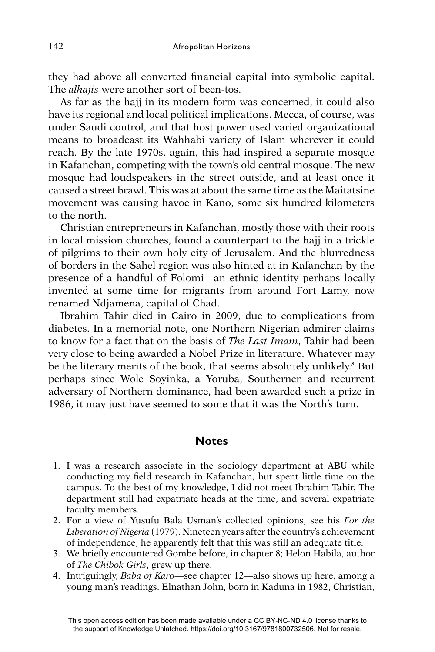they had above all converted financial capital into symbolic capital. The *alhajis* were another sort of been-tos.

As far as the hajj in its modern form was concerned, it could also have its regional and local political implications. Mecca, of course, was under Saudi control, and that host power used varied organizational means to broadcast its Wahhabi variety of Islam wherever it could reach. By the late 1970s, again, this had inspired a separate mosque in Kafanchan, competing with the town's old central mosque. The new mosque had loudspeakers in the street outside, and at least once it caused a street brawl. This was at about the same time as the Maitatsine movement was causing havoc in Kano, some six hundred kilometers to the north.

Christian entrepreneurs in Kafanchan, mostly those with their roots in local mission churches, found a counterpart to the hajj in a trickle of pilgrims to their own holy city of Jerusalem. And the blurredness of borders in the Sahel region was also hinted at in Kafanchan by the presence of a handful of Folomi—an ethnic identity perhaps locally invented at some time for migrants from around Fort Lamy, now renamed Ndjamena, capital of Chad.

Ibrahim Tahir died in Cairo in 2009, due to complications from diabetes. In a memorial note, one Northern Nigerian admirer claims to know for a fact that on the basis of *The Last Imam*, Tahir had been very close to being awarded a Nobel Prize in literature. Whatever may be the literary merits of the book, that seems absolutely unlikely.8 But perhaps since Wole Soyinka, a Yoruba, Southerner, and recurrent adversary of Northern dominance, had been awarded such a prize in 1986, it may just have seemed to some that it was the North's turn.

## **Notes**

- 1. I was a research associate in the sociology department at ABU while conducting my field research in Kafanchan, but spent little time on the campus. To the best of my knowledge, I did not meet Ibrahim Tahir. The department still had expatriate heads at the time, and several expatriate faculty members.
- 2. For a view of Yusufu Bala Usman's collected opinions, see his *For the Liberation of Nigeria* (1979). Nineteen years after the country's achievement of independence, he apparently felt that this was still an adequate title.
- 3. We briefly encountered Gombe before, in chapter 8; Helon Habila, author of *The Chibok Girls*, grew up there.
- 4. Intriguingly, *Baba of Karo*—see chapter 12—also shows up here, among a young man's readings. Elnathan John, born in Kaduna in 1982, Christian,